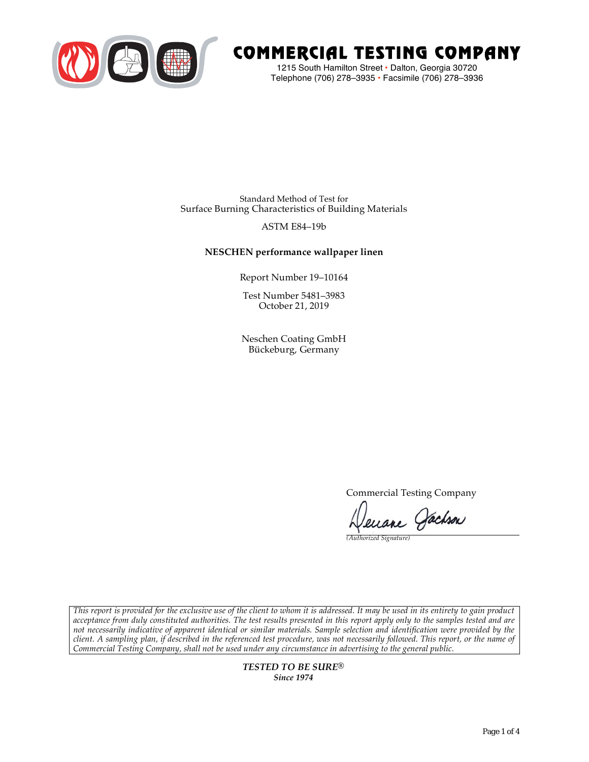

# COMMERCIAL TESTING COMPANY

1215 South Hamilton Street • Dalton, Georgia 30720 Telephone (706) 278–3935 **•** Facsimile (706) 278–3936

Standard Method of Test for Surface Burning Characteristics of Building Materials

# ASTM E84–19b

# **NESCHEN performance wallpaper linen**

Report Number 19–10164

Test Number 5481–3983 October 21, 2019

Neschen Coating GmbH Bückeburg, Germany

Commercial Testing Company

Lenane Jachson

*(Authorized Signature)* 

*This report is provided for the exclusive use of the client to whom it is addressed. It may be used in its entirety to gain product acceptance from duly constituted authorities. The test results presented in this report apply only to the samples tested and are not necessarily indicative of apparent identical or similar materials. Sample selection and identification were provided by the client. A sampling plan, if described in the referenced test procedure, was not necessarily followed. This report, or the name of Commercial Testing Company, shall not be used under any circumstance in advertising to the general public.* 

> *TESTED TO BE SURE® Since 1974*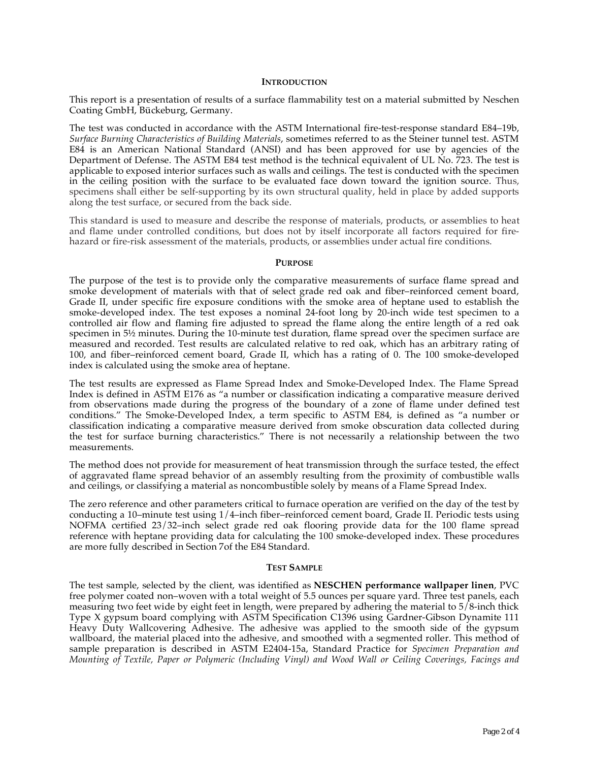#### **INTRODUCTION**

This report is a presentation of results of a surface flammability test on a material submitted by Neschen Coating GmbH, Bückeburg, Germany.

The test was conducted in accordance with the ASTM International fire-test-response standard E84–19b, *Surface Burning Characteristics of Building Materials*, sometimes referred to as the Steiner tunnel test. ASTM E84 is an American National Standard (ANSI) and has been approved for use by agencies of the Department of Defense. The ASTM E84 test method is the technical equivalent of UL No. 723. The test is applicable to exposed interior surfaces such as walls and ceilings. The test is conducted with the specimen in the ceiling position with the surface to be evaluated face down toward the ignition source. Thus, specimens shall either be self-supporting by its own structural quality, held in place by added supports along the test surface, or secured from the back side.

This standard is used to measure and describe the response of materials, products, or assemblies to heat and flame under controlled conditions, but does not by itself incorporate all factors required for firehazard or fire-risk assessment of the materials, products, or assemblies under actual fire conditions.

#### **PURPOSE**

The purpose of the test is to provide only the comparative measurements of surface flame spread and smoke development of materials with that of select grade red oak and fiber–reinforced cement board, Grade II, under specific fire exposure conditions with the smoke area of heptane used to establish the smoke-developed index. The test exposes a nominal 24-foot long by 20-inch wide test specimen to a controlled air flow and flaming fire adjusted to spread the flame along the entire length of a red oak specimen in  $5\frac{1}{2}$  minutes. During the 10-minute test duration, flame spread over the specimen surface are measured and recorded. Test results are calculated relative to red oak, which has an arbitrary rating of 100, and fiber–reinforced cement board, Grade II, which has a rating of 0. The 100 smoke-developed index is calculated using the smoke area of heptane.

The test results are expressed as Flame Spread Index and Smoke-Developed Index. The Flame Spread Index is defined in ASTM E176 as "a number or classification indicating a comparative measure derived from observations made during the progress of the boundary of a zone of flame under defined test conditions." The Smoke-Developed Index, a term specific to ASTM E84, is defined as "a number or classification indicating a comparative measure derived from smoke obscuration data collected during the test for surface burning characteristics." There is not necessarily a relationship between the two measurements.

The method does not provide for measurement of heat transmission through the surface tested, the effect of aggravated flame spread behavior of an assembly resulting from the proximity of combustible walls and ceilings, or classifying a material as noncombustible solely by means of a Flame Spread Index.

The zero reference and other parameters critical to furnace operation are verified on the day of the test by conducting a 10–minute test using 1/4–inch fiber–reinforced cement board, Grade II. Periodic tests using NOFMA certified 23/32–inch select grade red oak flooring provide data for the 100 flame spread reference with heptane providing data for calculating the 100 smoke-developed index. These procedures are more fully described in Section 7of the E84 Standard.

#### **TEST SAMPLE**

The test sample, selected by the client, was identified as **NESCHEN performance wallpaper linen**, PVC free polymer coated non–woven with a total weight of 5.5 ounces per square yard. Three test panels, each measuring two feet wide by eight feet in length, were prepared by adhering the material to 5/8-inch thick Type X gypsum board complying with ASTM Specification C1396 using Gardner-Gibson Dynamite 111 Heavy Duty Wallcovering Adhesive. The adhesive was applied to the smooth side of the gypsum wallboard, the material placed into the adhesive, and smoothed with a segmented roller. This method of sample preparation is described in ASTM E2404-15a, Standard Practice for *Specimen Preparation and Mounting of Textile, Paper or Polymeric (Including Vinyl) and Wood Wall or Ceiling Coverings, Facings and*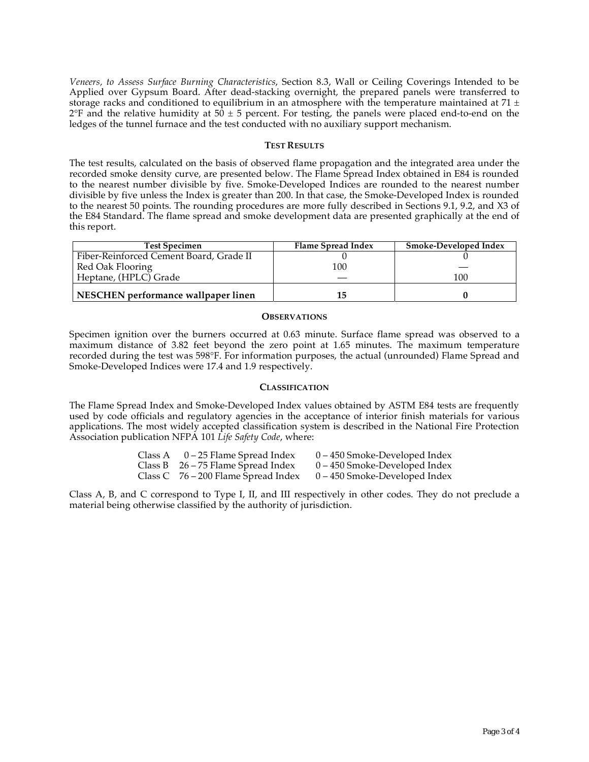*Veneers, to Assess Surface Burning Characteristics*, Section 8.3, Wall or Ceiling Coverings Intended to be Applied over Gypsum Board. After dead-stacking overnight, the prepared panels were transferred to storage racks and conditioned to equilibrium in an atmosphere with the temperature maintained at 71  $\pm$  $2^{\circ}F$  and the relative humidity at 50  $\pm$  5 percent. For testing, the panels were placed end-to-end on the ledges of the tunnel furnace and the test conducted with no auxiliary support mechanism.

#### **TEST RESULTS**

The test results, calculated on the basis of observed flame propagation and the integrated area under the recorded smoke density curve, are presented below. The Flame Spread Index obtained in E84 is rounded to the nearest number divisible by five. Smoke-Developed Indices are rounded to the nearest number divisible by five unless the Index is greater than 200. In that case, the Smoke-Developed Index is rounded to the nearest 50 points. The rounding procedures are more fully described in Sections 9.1, 9.2, and X3 of the E84 Standard. The flame spread and smoke development data are presented graphically at the end of this report.

| Test Specimen                           | Flame Spread Index | Smoke-Developed Index |
|-----------------------------------------|--------------------|-----------------------|
| Fiber-Reinforced Cement Board, Grade II |                    |                       |
| Red Oak Flooring                        | 100                |                       |
| Heptane, (HPLC) Grade                   |                    | 100                   |
| NESCHEN performance wallpaper linen     | 15                 |                       |

#### **OBSERVATIONS**

Specimen ignition over the burners occurred at 0.63 minute. Surface flame spread was observed to a maximum distance of 3.82 feet beyond the zero point at 1.65 minutes. The maximum temperature recorded during the test was 598°F. For information purposes, the actual (unrounded) Flame Spread and Smoke-Developed Indices were 17.4 and 1.9 respectively.

### **CLASSIFICATION**

The Flame Spread Index and Smoke-Developed Index values obtained by ASTM E84 tests are frequently used by code officials and regulatory agencies in the acceptance of interior finish materials for various applications. The most widely accepted classification system is described in the National Fire Protection Association publication NFPA 101 *Life Safety Code*, where:

| Class A | 0 – 25 Flame Spread Index             | 0 – 450 Smoke-Developed Index   |
|---------|---------------------------------------|---------------------------------|
|         | Class B $26 - 75$ Flame Spread Index  | $0 - 450$ Smoke-Developed Index |
|         | Class C $76 - 200$ Flame Spread Index | $0 - 450$ Smoke-Developed Index |

Class A, B, and C correspond to Type I, II, and III respectively in other codes. They do not preclude a material being otherwise classified by the authority of jurisdiction.